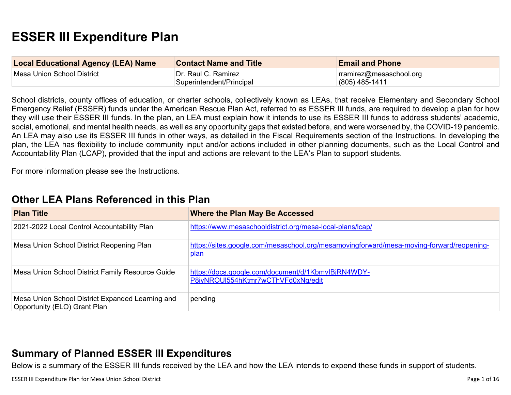# **ESSER III Expenditure Plan**

| <b>Local Educational Agency (LEA) Name</b> | <b>Contact Name and Title</b>                   | <b>Email and Phone</b>                               |
|--------------------------------------------|-------------------------------------------------|------------------------------------------------------|
| ⊺Mesa Union School District                | Dr. Raul C. Ramirez<br>Superintendent/Principal | $\lceil$ rramirez@mesaschool.org<br>$(805)$ 485-1411 |

School districts, county offices of education, or charter schools, collectively known as LEAs, that receive Elementary and Secondary School Emergency Relief (ESSER) funds under the American Rescue Plan Act, referred to as ESSER III funds, are required to develop a plan for how they will use their ESSER III funds. In the plan, an LEA must explain how it intends to use its ESSER III funds to address students' academic, social, emotional, and mental health needs, as well as any opportunity gaps that existed before, and were worsened by, the COVID-19 pandemic. An LEA may also use its ESSER III funds in other ways, as detailed in the Fiscal Requirements section of the Instructions. In developing the plan, the LEA has flexibility to include community input and/or actions included in other planning documents, such as the Local Control and Accountability Plan (LCAP), provided that the input and actions are relevant to the LEA's Plan to support students.

For more information please see the Instructions.

## **[Other LEA Plans Referenced in this Plan](#page-10-0)**

| <b>Plan Title</b>                                                                | <b>Where the Plan May Be Accessed</b>                                                                   |
|----------------------------------------------------------------------------------|---------------------------------------------------------------------------------------------------------|
| 2021-2022 Local Control Accountability Plan                                      | https://www.mesaschooldistrict.org/mesa-local-plans/lcap/                                               |
| Mesa Union School District Reopening Plan                                        | https://sites.google.com/mesaschool.org/mesamovingforward/mesa-moving-forward/reopening-<br><u>plan</u> |
| Mesa Union School District Family Resource Guide                                 | https://docs.google.com/document/d/1KbmvIBjRN4WDY-<br>P8iyNROUI554hKtmr7wCThVFd0xNg/edit                |
| Mesa Union School District Expanded Learning and<br>Opportunity (ELO) Grant Plan | pending                                                                                                 |

## **[Summary of Planned ESSER III Expenditures](#page-10-1)**

Below is a summary of the ESSER III funds received by the LEA and how the LEA intends to expend these funds in support of students.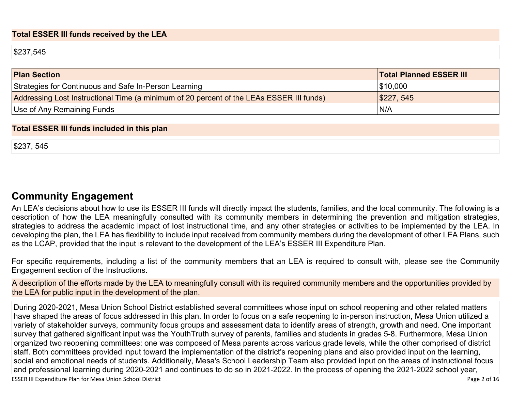#### **Total ESSER III funds received by the LEA**

\$237,545

| <b>Plan Section</b>                                                                      | <b>Total Planned ESSER III</b> |
|------------------------------------------------------------------------------------------|--------------------------------|
| Strategies for Continuous and Safe In-Person Learning                                    | \$10,000                       |
| Addressing Lost Instructional Time (a minimum of 20 percent of the LEAs ESSER III funds) | \$227, 545                     |
| Use of Any Remaining Funds                                                               | N/A                            |

#### **Total ESSER III funds included in this plan**

\$237, 545

## **[Community Engagement](#page-11-0)**

An LEA's decisions about how to use its ESSER III funds will directly impact the students, families, and the local community. The following is a description of how the LEA meaningfully consulted with its community members in determining the prevention and mitigation strategies, strategies to address the academic impact of lost instructional time, and any other strategies or activities to be implemented by the LEA. In developing the plan, the LEA has flexibility to include input received from community members during the development of other LEA Plans, such as the LCAP, provided that the input is relevant to the development of the LEA's ESSER III Expenditure Plan.

For specific requirements, including a list of the community members that an LEA is required to consult with, please see the Community Engagement section of the Instructions.

A description of the efforts made by the LEA to meaningfully consult with its required community members and the opportunities provided by the LEA for public input in the development of the plan.

During 2020-2021, Mesa Union School District established several committees whose input on school reopening and other related matters have shaped the areas of focus addressed in this plan. In order to focus on a safe reopening to in-person instruction, Mesa Union utilized a variety of stakeholder surveys, community focus groups and assessment data to identify areas of strength, growth and need. One important survey that gathered significant input was the YouthTruth survey of parents, families and students in grades 5-8. Furthermore, Mesa Union organized two reopening committees: one was composed of Mesa parents across various grade levels, while the other comprised of district staff. Both committees provided input toward the implementation of the district's reopening plans and also provided input on the learning, social and emotional needs of students. Additionally, Mesa's School Leadership Team also provided input on the areas of instructional focus and professional learning during 2020-2021 and continues to do so in 2021-2022. In the process of opening the 2021-2022 school year,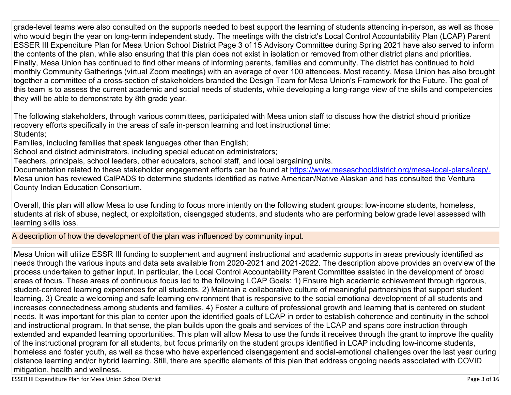grade-level teams were also consulted on the supports needed to best support the learning of students attending in-person, as well as those who would begin the year on long-term independent study. The meetings with the district's Local Control Accountability Plan (LCAP) Parent ESSER III Expenditure Plan for Mesa Union School District Page 3 of 15 Advisory Committee during Spring 2021 have also served to inform the contents of the plan, while also ensuring that this plan does not exist in isolation or removed from other district plans and priorities. Finally, Mesa Union has continued to find other means of informing parents, families and community. The district has continued to hold monthly Community Gatherings (virtual Zoom meetings) with an average of over 100 attendees. Most recently, Mesa Union has also brought together a committee of a cross-section of stakeholders branded the Design Team for Mesa Union's Framework for the Future. The goal of this team is to assess the current academic and social needs of students, while developing a long-range view of the skills and competencies they will be able to demonstrate by 8th grade year.

The following stakeholders, through various committees, participated with Mesa union staff to discuss how the district should prioritize recovery efforts specifically in the areas of safe in-person learning and lost instructional time: Students;

Families, including families that speak languages other than English;

School and district administrators, including special education administrators;

Teachers, principals, school leaders, other educators, school staff, and local bargaining units.

Documentation related to these stakeholder engagement efforts can be found at [https://www.mesaschooldistrict.org/mesa-local-plans/lcap/.](https://www.mesaschooldistrict.org/mesa-local-plans/lcap/) Mesa union has reviewed CalPADS to determine students identified as native American/Native Alaskan and has consulted the Ventura County Indian Education Consortium.

Overall, this plan will allow Mesa to use funding to focus more intently on the following student groups: low-income students, homeless, students at risk of abuse, neglect, or exploitation, disengaged students, and students who are performing below grade level assessed with learning skills loss.

A description of how the development of the plan was influenced by community input.

Mesa Union will utilize ESSR III funding to supplement and augment instructional and academic supports in areas previously identified as needs through the various inputs and data sets available from 2020-2021 and 2021-2022. The description above provides an overview of the process undertaken to gather input. In particular, the Local Control Accountability Parent Committee assisted in the development of broad areas of focus. These areas of continuous focus led to the following LCAP Goals: 1) Ensure high academic achievement through rigorous, student-centered learning experiences for all students. 2) Maintain a collaborative culture of meaningful partnerships that support student learning. 3) Create a welcoming and safe learning environment that is responsive to the social emotional development of all students and increases connectedness among students and families. 4) Foster a culture of professional growth and learning that is centered on student needs. It was important for this plan to center upon the identified goals of LCAP in order to establish coherence and continuity in the school and instructional program. In that sense, the plan builds upon the goals and services of the LCAP and spans core instruction through extended and expanded learning opportunities. This plan will allow Mesa to use the funds it receives through the grant to improve the quality of the instructional program for all students, but focus primarily on the student groups identified in LCAP including low-income students, homeless and foster youth, as well as those who have experienced disengagement and social-emotional challenges over the last year during distance learning and/or hybrid learning. Still, there are specific elements of this plan that address ongoing needs associated with COVID mitigation, health and wellness.

ESSER III Expenditure Plan for Mesa Union School District **National School Page 3 of 16** and the set of 16 and the set of 16 and the set of 16 and the set of 16 and the set of 16 and the set of 16 and the set of 16 and the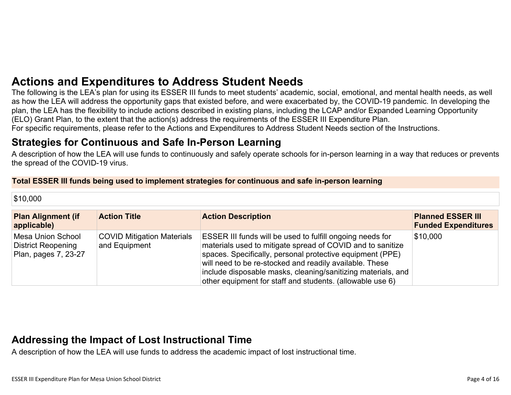# **[Actions and Expenditures to Address Student Needs](#page-13-0)**

The following is the LEA's plan for using its ESSER III funds to meet students' academic, social, emotional, and mental health needs, as well as how the LEA will address the opportunity gaps that existed before, and were exacerbated by, the COVID-19 pandemic. In developing the plan, the LEA has the flexibility to include actions described in existing plans, including the LCAP and/or Expanded Learning Opportunity (ELO) Grant Plan, to the extent that the action(s) address the requirements of the ESSER III Expenditure Plan. For specific requirements, please refer to the Actions and Expenditures to Address Student Needs section of the Instructions.

## **[Strategies for Continuous and Safe In-Person Learning](#page-13-1)**

A description of how the LEA will use funds to continuously and safely operate schools for in-person learning in a way that reduces or prevents the spread of the COVID-19 virus.

#### **Total ESSER III funds being used to implement strategies for continuous and safe in-person learning**

| $\$10,000$                                                                    |                                                    |                                                                                                                                                                                                                                                                                                                                                                                     |                                                        |
|-------------------------------------------------------------------------------|----------------------------------------------------|-------------------------------------------------------------------------------------------------------------------------------------------------------------------------------------------------------------------------------------------------------------------------------------------------------------------------------------------------------------------------------------|--------------------------------------------------------|
| <b>Plan Alignment (if</b><br>applicable)                                      | <b>Action Title</b>                                | <b>Action Description</b>                                                                                                                                                                                                                                                                                                                                                           | <b>Planned ESSER III</b><br><b>Funded Expenditures</b> |
| <b>Mesa Union School</b><br><b>District Reopening</b><br>Plan, pages 7, 23-27 | <b>COVID Mitigation Materials</b><br>and Equipment | <b>ESSER III funds will be used to fulfill ongoing needs for</b><br>materials used to mitigate spread of COVID and to sanitize<br>spaces. Specifically, personal protective equipment (PPE)<br>will need to be re-stocked and readily available. These<br>include disposable masks, cleaning/sanitizing materials, and<br>other equipment for staff and students. (allowable use 6) | \$10,000                                               |

# **[Addressing the Impact of Lost Instructional Time](#page-14-0)**

A description of how the LEA will use funds to address the academic impact of lost instructional time.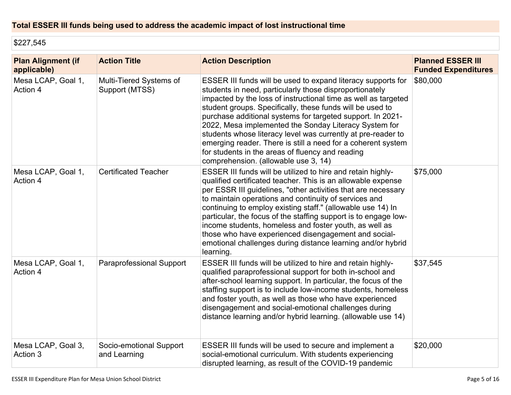## **Total ESSER III funds being used to address the academic impact of lost instructional time**

\$227,545

| <b>Plan Alignment (if</b><br>applicable) | <b>Action Title</b>                       | <b>Action Description</b>                                                                                                                                                                                                                                                                                                                                                                                                                                                                                                                                                                                 | <b>Planned ESSER III</b><br><b>Funded Expenditures</b> |
|------------------------------------------|-------------------------------------------|-----------------------------------------------------------------------------------------------------------------------------------------------------------------------------------------------------------------------------------------------------------------------------------------------------------------------------------------------------------------------------------------------------------------------------------------------------------------------------------------------------------------------------------------------------------------------------------------------------------|--------------------------------------------------------|
| Mesa LCAP, Goal 1,<br>Action 4           | Multi-Tiered Systems of<br>Support (MTSS) | ESSER III funds will be used to expand literacy supports for<br>students in need, particularly those disproportionately<br>impacted by the loss of instructional time as well as targeted<br>student groups. Specifically, these funds will be used to<br>purchase additional systems for targeted support. In 2021-<br>2022, Mesa implemented the Sonday Literacy System for<br>students whose literacy level was currently at pre-reader to<br>emerging reader. There is still a need for a coherent system<br>for students in the areas of fluency and reading<br>comprehension. (allowable use 3, 14) | \$80,000                                               |
| Mesa LCAP, Goal 1,<br>Action 4           | <b>Certificated Teacher</b>               | ESSER III funds will be utilized to hire and retain highly-<br>qualified certificated teacher. This is an allowable expense<br>per ESSR III guidelines, "other activities that are necessary<br>to maintain operations and continuity of services and<br>continuing to employ existing staff." (allowable use 14) In<br>particular, the focus of the staffing support is to engage low-<br>income students, homeless and foster youth, as well as<br>those who have experienced disengagement and social-<br>emotional challenges during distance learning and/or hybrid<br>learning.                     | \$75,000                                               |
| Mesa LCAP, Goal 1,<br>Action 4           | Paraprofessional Support                  | ESSER III funds will be utilized to hire and retain highly-<br>qualified paraprofessional support for both in-school and<br>after-school learning support. In particular, the focus of the<br>staffing support is to include low-income students, homeless<br>and foster youth, as well as those who have experienced<br>disengagement and social-emotional challenges during<br>distance learning and/or hybrid learning. (allowable use 14)                                                                                                                                                             | \$37,545                                               |
| Mesa LCAP, Goal 3,<br>Action 3           | Socio-emotional Support<br>and Learning   | ESSER III funds will be used to secure and implement a<br>social-emotional curriculum. With students experiencing<br>disrupted learning, as result of the COVID-19 pandemic                                                                                                                                                                                                                                                                                                                                                                                                                               | \$20,000                                               |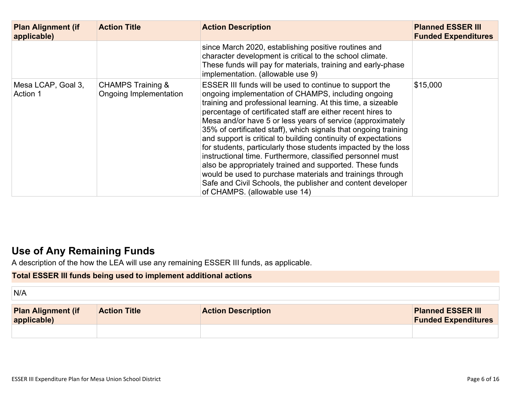| <b>Plan Alignment (if</b><br>applicable) | <b>Action Title</b>                                    | <b>Action Description</b>                                                                                                                                                                                                                                                                                                                                                                                                                                                                                                                                                                                                                                                                                                                                                                                 | <b>Planned ESSER III</b><br><b>Funded Expenditures</b> |
|------------------------------------------|--------------------------------------------------------|-----------------------------------------------------------------------------------------------------------------------------------------------------------------------------------------------------------------------------------------------------------------------------------------------------------------------------------------------------------------------------------------------------------------------------------------------------------------------------------------------------------------------------------------------------------------------------------------------------------------------------------------------------------------------------------------------------------------------------------------------------------------------------------------------------------|--------------------------------------------------------|
|                                          |                                                        | since March 2020, establishing positive routines and<br>character development is critical to the school climate.<br>These funds will pay for materials, training and early-phase<br>implementation. (allowable use 9)                                                                                                                                                                                                                                                                                                                                                                                                                                                                                                                                                                                     |                                                        |
| Mesa LCAP, Goal 3,<br>Action 1           | <b>CHAMPS Training &amp;</b><br>Ongoing Implementation | ESSER III funds will be used to continue to support the<br>ongoing implementation of CHAMPS, including ongoing<br>training and professional learning. At this time, a sizeable<br>percentage of certificated staff are either recent hires to<br>Mesa and/or have 5 or less years of service (approximately<br>35% of certificated staff), which signals that ongoing training<br>and support is critical to building continuity of expectations<br>for students, particularly those students impacted by the loss<br>instructional time. Furthermore, classified personnel must<br>also be appropriately trained and supported. These funds<br>would be used to purchase materials and trainings through<br>Safe and Civil Schools, the publisher and content developer<br>of CHAMPS. (allowable use 14) | \$15,000                                               |

# **[Use of Any Remaining Funds](#page-14-1)**

A description of the how the LEA will use any remaining ESSER III funds, as applicable.

## **Total ESSER III funds being used to implement additional actions**

N/A

| <b>Plan Alignment (if</b><br>applicable) | <b>Action Title</b> | <b>Action Description</b> | <b>Planned ESSER III</b><br><b>Funded Expenditures</b> |
|------------------------------------------|---------------------|---------------------------|--------------------------------------------------------|
|                                          |                     |                           |                                                        |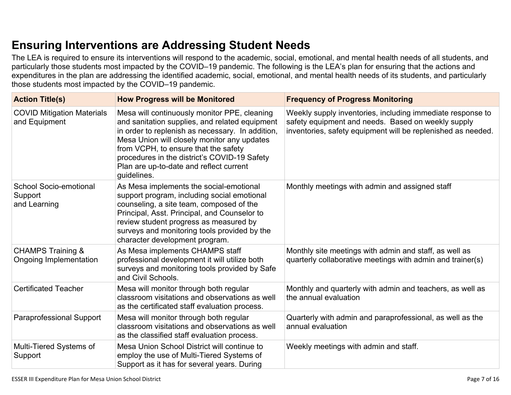# **[Ensuring Interventions are Addressing Student Needs](#page-14-2)**

The LEA is required to ensure its interventions will respond to the academic, social, emotional, and mental health needs of all students, and particularly those students most impacted by the COVID–19 pandemic. The following is the LEA's plan for ensuring that the actions and expenditures in the plan are addressing the identified academic, social, emotional, and mental health needs of its students, and particularly those students most impacted by the COVID–19 pandemic.

| <b>Action Title(s)</b>                                   | <b>How Progress will be Monitored</b>                                                                                                                                                                                                                                                                                                               | <b>Frequency of Progress Monitoring</b>                                                                                                                                          |
|----------------------------------------------------------|-----------------------------------------------------------------------------------------------------------------------------------------------------------------------------------------------------------------------------------------------------------------------------------------------------------------------------------------------------|----------------------------------------------------------------------------------------------------------------------------------------------------------------------------------|
| <b>COVID Mitigation Materials</b><br>and Equipment       | Mesa will continuously monitor PPE, cleaning<br>and sanitation supplies, and related equipment<br>in order to replenish as necessary. In addition,<br>Mesa Union will closely monitor any updates<br>from VCPH, to ensure that the safety<br>procedures in the district's COVID-19 Safety<br>Plan are up-to-date and reflect current<br>guidelines. | Weekly supply inventories, including immediate response to<br>safety equipment and needs. Based on weekly supply<br>inventories, safety equipment will be replenished as needed. |
| <b>School Socio-emotional</b><br>Support<br>and Learning | As Mesa implements the social-emotional<br>support program, including social emotional<br>counseling, a site team, composed of the<br>Principal, Asst. Principal, and Counselor to<br>review student progress as measured by<br>surveys and monitoring tools provided by the<br>character development program.                                      | Monthly meetings with admin and assigned staff                                                                                                                                   |
| <b>CHAMPS Training &amp;</b><br>Ongoing Implementation   | As Mesa implements CHAMPS staff<br>professional development it will utilize both<br>surveys and monitoring tools provided by Safe<br>and Civil Schools.                                                                                                                                                                                             | Monthly site meetings with admin and staff, as well as<br>quarterly collaborative meetings with admin and trainer(s)                                                             |
| <b>Certificated Teacher</b>                              | Mesa will monitor through both regular<br>classroom visitations and observations as well<br>as the certificated staff evaluation process.                                                                                                                                                                                                           | Monthly and quarterly with admin and teachers, as well as<br>the annual evaluation                                                                                               |
| <b>Paraprofessional Support</b>                          | Mesa will monitor through both regular<br>classroom visitations and observations as well<br>as the classified staff evaluation process.                                                                                                                                                                                                             | Quarterly with admin and paraprofessional, as well as the<br>annual evaluation                                                                                                   |
| Multi-Tiered Systems of<br>Support                       | Mesa Union School District will continue to<br>employ the use of Multi-Tiered Systems of<br>Support as it has for several years. During                                                                                                                                                                                                             | Weekly meetings with admin and staff.                                                                                                                                            |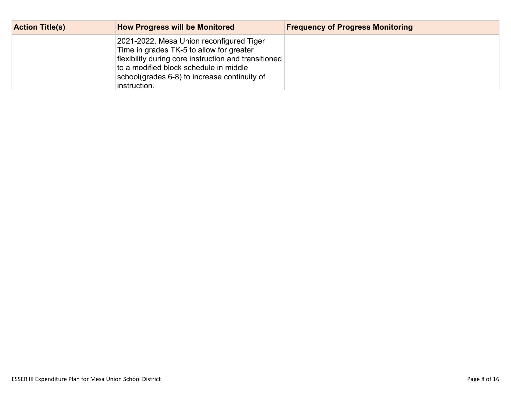| <b>Action Title(s)</b> | <b>How Progress will be Monitored</b>                                                                                                                                                                                                                  | <b>Frequency of Progress Monitoring</b> |
|------------------------|--------------------------------------------------------------------------------------------------------------------------------------------------------------------------------------------------------------------------------------------------------|-----------------------------------------|
|                        | 2021-2022, Mesa Union reconfigured Tiger<br>Time in grades TK-5 to allow for greater<br>flexibility during core instruction and transitioned<br>to a modified block schedule in middle<br>school(grades 6-8) to increase continuity of<br>instruction. |                                         |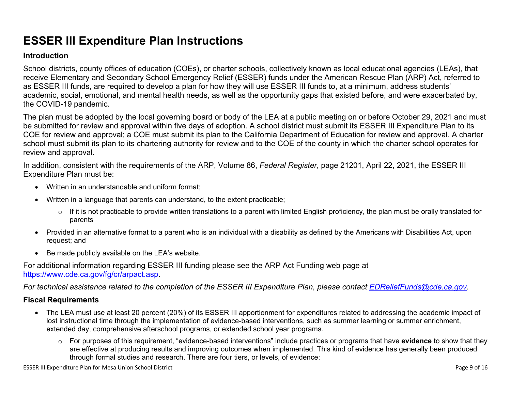# **ESSER III Expenditure Plan Instructions**

#### **Introduction**

School districts, county offices of education (COEs), or charter schools, collectively known as local educational agencies (LEAs), that receive Elementary and Secondary School Emergency Relief (ESSER) funds under the American Rescue Plan (ARP) Act, referred to as ESSER III funds, are required to develop a plan for how they will use ESSER III funds to, at a minimum, address students' academic, social, emotional, and mental health needs, as well as the opportunity gaps that existed before, and were exacerbated by, the COVID-19 pandemic.

The plan must be adopted by the local governing board or body of the LEA at a public meeting on or before October 29, 2021 and must be submitted for review and approval within five days of adoption. A school district must submit its ESSER III Expenditure Plan to its COE for review and approval; a COE must submit its plan to the California Department of Education for review and approval. A charter school must submit its plan to its chartering authority for review and to the COE of the county in which the charter school operates for review and approval.

In addition, consistent with the requirements of the ARP, Volume 86, *Federal Register*, page 21201, April 22, 2021, the ESSER III Expenditure Plan must be:

- Written in an understandable and uniform format;
- Written in a language that parents can understand, to the extent practicable;
	- $\circ$  If it is not practicable to provide written translations to a parent with limited English proficiency, the plan must be orally translated for parents
- Provided in an alternative format to a parent who is an individual with a disability as defined by the Americans with Disabilities Act, upon request; and
- Be made publicly available on the LEA's website.

For additional information regarding ESSER III funding please see the ARP Act Funding web page at <https://www.cde.ca.gov/fg/cr/arpact.asp>.

*For technical assistance related to the completion of the ESSER III Expenditure Plan, please contact [EDReliefFunds@cde.ca.gov](mailto:EDReliefFunds@cde.ca.gov).* 

### **Fiscal Requirements**

- The LEA must use at least 20 percent (20%) of its ESSER III apportionment for expenditures related to addressing the academic impact of lost instructional time through the implementation of evidence-based interventions, such as summer learning or summer enrichment, extended day, comprehensive afterschool programs, or extended school year programs.
	- o For purposes of this requirement, "evidence-based interventions" include practices or programs that have **evidence** to show that they are effective at producing results and improving outcomes when implemented. This kind of evidence has generally been produced through formal studies and research. There are four tiers, or levels, of evidence: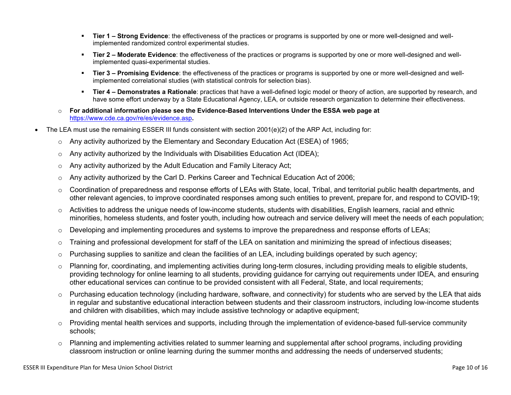- **Tier 1 Strong Evidence**: the effectiveness of the practices or programs is supported by one or more well-designed and wellimplemented randomized control experimental studies.
- **Tier 2 Moderate Evidence**: the effectiveness of the practices or programs is supported by one or more well-designed and wellimplemented quasi-experimental studies.
- **Tier 3 Promising Evidence**: the effectiveness of the practices or programs is supported by one or more well-designed and wellimplemented correlational studies (with statistical controls for selection bias).
- **Tier 4 Demonstrates a Rationale**: practices that have a well-defined logic model or theory of action, are supported by research, and have some effort underway by a State Educational Agency, LEA, or outside research organization to determine their effectiveness.
- o **For additional information please see the Evidence-Based Interventions Under the ESSA web page at**  <https://www.cde.ca.gov/re/es/evidence.asp>**.**
- The LEA must use the remaining ESSER III funds consistent with section 2001(e)(2) of the ARP Act, including for:
	- $\circ$  Any activity authorized by the Elementary and Secondary Education Act (ESEA) of 1965;
	- $\circ$  Any activity authorized by the Individuals with Disabilities Education Act (IDEA);
	- o Any activity authorized by the Adult Education and Family Literacy Act;
	- $\circ$  Any activity authorized by the Carl D. Perkins Career and Technical Education Act of 2006;
	- $\circ$  Coordination of preparedness and response efforts of LEAs with State, local, Tribal, and territorial public health departments, and other relevant agencies, to improve coordinated responses among such entities to prevent, prepare for, and respond to COVID-19;
	- $\circ$  Activities to address the unique needs of low-income students, students with disabilities, English learners, racial and ethnic minorities, homeless students, and foster youth, including how outreach and service delivery will meet the needs of each population;
	- o Developing and implementing procedures and systems to improve the preparedness and response efforts of LEAs;
	- $\circ$  Training and professional development for staff of the LEA on sanitation and minimizing the spread of infectious diseases;
	- $\circ$  Purchasing supplies to sanitize and clean the facilities of an LEA, including buildings operated by such agency;
	- $\circ$  Planning for, coordinating, and implementing activities during long-term closures, including providing meals to eligible students, providing technology for online learning to all students, providing guidance for carrying out requirements under IDEA, and ensuring other educational services can continue to be provided consistent with all Federal, State, and local requirements;
	- $\circ$  Purchasing education technology (including hardware, software, and connectivity) for students who are served by the LEA that aids in regular and substantive educational interaction between students and their classroom instructors, including low-income students and children with disabilities, which may include assistive technology or adaptive equipment;
	- $\circ$  Providing mental health services and supports, including through the implementation of evidence-based full-service community schools;
	- o Planning and implementing activities related to summer learning and supplemental after school programs, including providing classroom instruction or online learning during the summer months and addressing the needs of underserved students;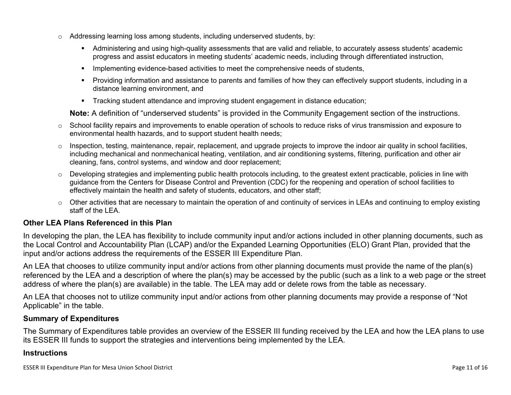- $\circ$  Addressing learning loss among students, including underserved students, by:
	- Administering and using high-quality assessments that are valid and reliable, to accurately assess students' academic progress and assist educators in meeting students' academic needs, including through differentiated instruction,
	- **IMPLEMENTER IMPLEMENT EVALUATE:** Implementing evidence-based activities to meet the comprehensive needs of students,
	- Providing information and assistance to parents and families of how they can effectively support students, including in a distance learning environment, and
	- Tracking student attendance and improving student engagement in distance education;

**Note:** A definition of "underserved students" is provided in the Community Engagement section of the instructions.

- $\circ$  School facility repairs and improvements to enable operation of schools to reduce risks of virus transmission and exposure to environmental health hazards, and to support student health needs;
- $\circ$  Inspection, testing, maintenance, repair, replacement, and upgrade projects to improve the indoor air quality in school facilities, including mechanical and nonmechanical heating, ventilation, and air conditioning systems, filtering, purification and other air cleaning, fans, control systems, and window and door replacement;
- $\circ$  Developing strategies and implementing public health protocols including, to the greatest extent practicable, policies in line with guidance from the Centers for Disease Control and Prevention (CDC) for the reopening and operation of school facilities to effectively maintain the health and safety of students, educators, and other staff;
- $\circ$  Other activities that are necessary to maintain the operation of and continuity of services in LEAs and continuing to employ existing staff of the LEA.

### <span id="page-10-0"></span>**Other LEA Plans Referenced in this Plan**

In developing the plan, the LEA has flexibility to include community input and/or actions included in other planning documents, such as the Local Control and Accountability Plan (LCAP) and/or the Expanded Learning Opportunities (ELO) Grant Plan, provided that the input and/or actions address the requirements of the ESSER III Expenditure Plan.

An LEA that chooses to utilize community input and/or actions from other planning documents must provide the name of the plan(s) referenced by the LEA and a description of where the plan(s) may be accessed by the public (such as a link to a web page or the street address of where the plan(s) are available) in the table. The LEA may add or delete rows from the table as necessary.

An LEA that chooses not to utilize community input and/or actions from other planning documents may provide a response of "Not Applicable" in the table.

#### <span id="page-10-1"></span>**Summary of Expenditures**

The Summary of Expenditures table provides an overview of the ESSER III funding received by the LEA and how the LEA plans to use its ESSER III funds to support the strategies and interventions being implemented by the LEA.

#### **Instructions**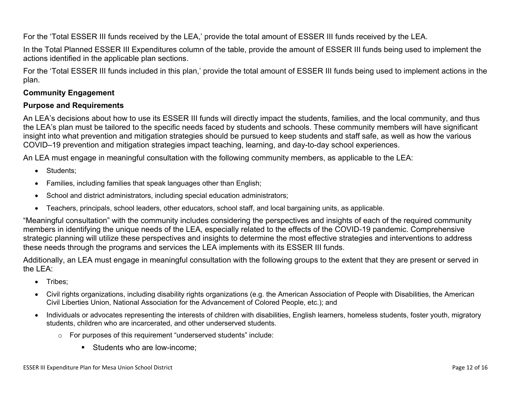For the 'Total ESSER III funds received by the LEA,' provide the total amount of ESSER III funds received by the LEA.

In the Total Planned ESSER III Expenditures column of the table, provide the amount of ESSER III funds being used to implement the actions identified in the applicable plan sections.

For the 'Total ESSER III funds included in this plan,' provide the total amount of ESSER III funds being used to implement actions in the plan.

### <span id="page-11-0"></span>**Community Engagement**

### **Purpose and Requirements**

An LEA's decisions about how to use its ESSER III funds will directly impact the students, families, and the local community, and thus the LEA's plan must be tailored to the specific needs faced by students and schools. These community members will have significant insight into what prevention and mitigation strategies should be pursued to keep students and staff safe, as well as how the various COVID–19 prevention and mitigation strategies impact teaching, learning, and day-to-day school experiences.

An LEA must engage in meaningful consultation with the following community members, as applicable to the LEA:

- Students:
- Families, including families that speak languages other than English;
- School and district administrators, including special education administrators;
- Teachers, principals, school leaders, other educators, school staff, and local bargaining units, as applicable.

"Meaningful consultation" with the community includes considering the perspectives and insights of each of the required community members in identifying the unique needs of the LEA, especially related to the effects of the COVID-19 pandemic. Comprehensive strategic planning will utilize these perspectives and insights to determine the most effective strategies and interventions to address these needs through the programs and services the LEA implements with its ESSER III funds.

Additionally, an LEA must engage in meaningful consultation with the following groups to the extent that they are present or served in the LEA:

- Tribes;
- Civil rights organizations, including disability rights organizations (e.g. the American Association of People with Disabilities, the American Civil Liberties Union, National Association for the Advancement of Colored People, etc.); and
- Individuals or advocates representing the interests of children with disabilities, English learners, homeless students, foster youth, migratory students, children who are incarcerated, and other underserved students.
	- o For purposes of this requirement "underserved students" include:
		- Students who are low-income: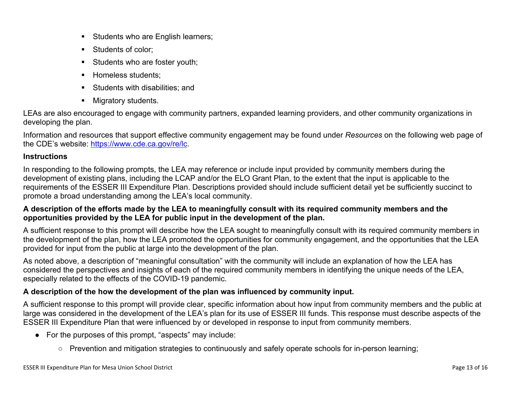- Students who are English learners;
- Students of color:
- Students who are foster youth;
- Homeless students;
- **Students with disabilities: and**
- **Migratory students.**

LEAs are also encouraged to engage with community partners, expanded learning providers, and other community organizations in developing the plan.

Information and resources that support effective community engagement may be found under *Resources* on the following web page of the CDE's website: <https://www.cde.ca.gov/re/lc>.

### **Instructions**

In responding to the following prompts, the LEA may reference or include input provided by community members during the development of existing plans, including the LCAP and/or the ELO Grant Plan, to the extent that the input is applicable to the requirements of the ESSER III Expenditure Plan. Descriptions provided should include sufficient detail yet be sufficiently succinct to promote a broad understanding among the LEA's local community.

### **A description of the efforts made by the LEA to meaningfully consult with its required community members and the opportunities provided by the LEA for public input in the development of the plan.**

A sufficient response to this prompt will describe how the LEA sought to meaningfully consult with its required community members in the development of the plan, how the LEA promoted the opportunities for community engagement, and the opportunities that the LEA provided for input from the public at large into the development of the plan.

As noted above, a description of "meaningful consultation" with the community will include an explanation of how the LEA has considered the perspectives and insights of each of the required community members in identifying the unique needs of the LEA, especially related to the effects of the COVID-19 pandemic.

## **A description of the how the development of the plan was influenced by community input.**

A sufficient response to this prompt will provide clear, specific information about how input from community members and the public at large was considered in the development of the LEA's plan for its use of ESSER III funds. This response must describe aspects of the ESSER III Expenditure Plan that were influenced by or developed in response to input from community members.

- For the purposes of this prompt, "aspects" may include:
	- Prevention and mitigation strategies to continuously and safely operate schools for in-person learning;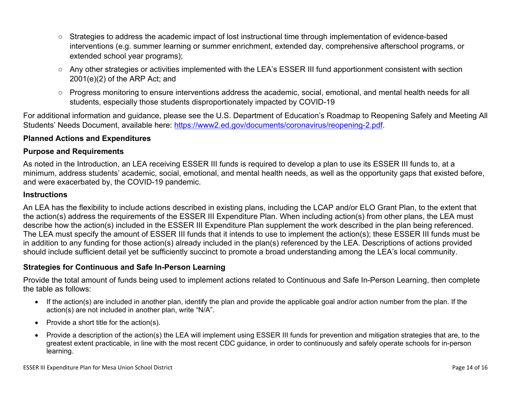- Strategies to address the academic impact of lost instructional time through implementation of evidence-based interventions (e.g. summer learning or summer enrichment, extended day, comprehensive afterschool programs, or extended school year programs);
- Any other strategies or activities implemented with the LEA's ESSER III fund apportionment consistent with section 2001(e)(2) of the ARP Act; and
- Progress monitoring to ensure interventions address the academic, social, emotional, and mental health needs for all students, especially those students disproportionately impacted by COVID-19

For additional information and guidance, please see the U.S. Department of Education's Roadmap to Reopening Safely and Meeting All Students' Needs Document, available here: [https://www2.ed.gov/documents/coronavirus/reopening-2.pdf.](https://www2.ed.gov/documents/coronavirus/reopening-2.pdf)

### <span id="page-13-0"></span>**Planned Actions and Expenditures**

#### **Purpose and Requirements**

As noted in the Introduction, an LEA receiving ESSER III funds is required to develop a plan to use its ESSER III funds to, at a minimum, address students' academic, social, emotional, and mental health needs, as well as the opportunity gaps that existed before, and were exacerbated by, the COVID-19 pandemic.

#### **Instructions**

An LEA has the flexibility to include actions described in existing plans, including the LCAP and/or ELO Grant Plan, to the extent that the action(s) address the requirements of the ESSER III Expenditure Plan. When including action(s) from other plans, the LEA must describe how the action(s) included in the ESSER III Expenditure Plan supplement the work described in the plan being referenced. The LEA must specify the amount of ESSER III funds that it intends to use to implement the action(s); these ESSER III funds must be in addition to any funding for those action(s) already included in the plan(s) referenced by the LEA. Descriptions of actions provided should include sufficient detail yet be sufficiently succinct to promote a broad understanding among the LEA's local community.

#### <span id="page-13-1"></span>**Strategies for Continuous and Safe In-Person Learning**

Provide the total amount of funds being used to implement actions related to Continuous and Safe In-Person Learning, then complete the table as follows:

- If the action(s) are included in another plan, identify the plan and provide the applicable goal and/or action number from the plan. If the action(s) are not included in another plan, write "N/A".
- Provide a short title for the  $action(s)$ .
- Provide a description of the action(s) the LEA will implement using ESSER III funds for prevention and mitigation strategies that are, to the greatest extent practicable, in line with the most recent CDC guidance, in order to continuously and safely operate schools for in-person learning.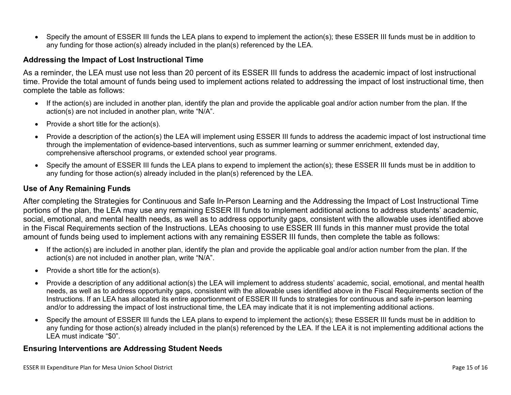Specify the amount of ESSER III funds the LEA plans to expend to implement the action(s); these ESSER III funds must be in addition to any funding for those action(s) already included in the plan(s) referenced by the LEA.

#### <span id="page-14-0"></span>**Addressing the Impact of Lost Instructional Time**

As a reminder, the LEA must use not less than 20 percent of its ESSER III funds to address the academic impact of lost instructional time. Provide the total amount of funds being used to implement actions related to addressing the impact of lost instructional time, then complete the table as follows:

- If the action(s) are included in another plan, identify the plan and provide the applicable goal and/or action number from the plan. If the action(s) are not included in another plan, write "N/A".
- Provide a short title for the  $action(s)$ .
- Provide a description of the action(s) the LEA will implement using ESSER III funds to address the academic impact of lost instructional time through the implementation of evidence-based interventions, such as summer learning or summer enrichment, extended day, comprehensive afterschool programs, or extended school year programs.
- Specify the amount of ESSER III funds the LEA plans to expend to implement the action(s); these ESSER III funds must be in addition to any funding for those action(s) already included in the plan(s) referenced by the LEA.

#### <span id="page-14-1"></span>**Use of Any Remaining Funds**

After completing the Strategies for Continuous and Safe In-Person Learning and the Addressing the Impact of Lost Instructional Time portions of the plan, the LEA may use any remaining ESSER III funds to implement additional actions to address students' academic, social, emotional, and mental health needs, as well as to address opportunity gaps, consistent with the allowable uses identified above in the Fiscal Requirements section of the Instructions. LEAs choosing to use ESSER III funds in this manner must provide the total amount of funds being used to implement actions with any remaining ESSER III funds, then complete the table as follows:

- If the action(s) are included in another plan, identify the plan and provide the applicable goal and/or action number from the plan. If the action(s) are not included in another plan, write "N/A".
- Provide a short title for the  $action(s)$ .
- Provide a description of any additional action(s) the LEA will implement to address students' academic, social, emotional, and mental health needs, as well as to address opportunity gaps, consistent with the allowable uses identified above in the Fiscal Requirements section of the Instructions. If an LEA has allocated its entire apportionment of ESSER III funds to strategies for continuous and safe in-person learning and/or to addressing the impact of lost instructional time, the LEA may indicate that it is not implementing additional actions.
- Specify the amount of ESSER III funds the LEA plans to expend to implement the action(s); these ESSER III funds must be in addition to any funding for those action(s) already included in the plan(s) referenced by the LEA. If the LEA it is not implementing additional actions the LEA must indicate "\$0".

#### <span id="page-14-2"></span>**Ensuring Interventions are Addressing Student Needs**